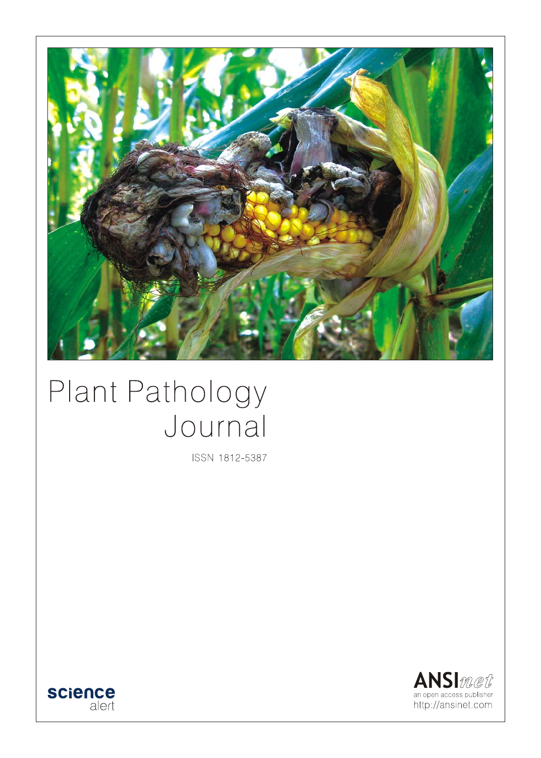

# Plant Pathology Journal

ISSN 1812-5387



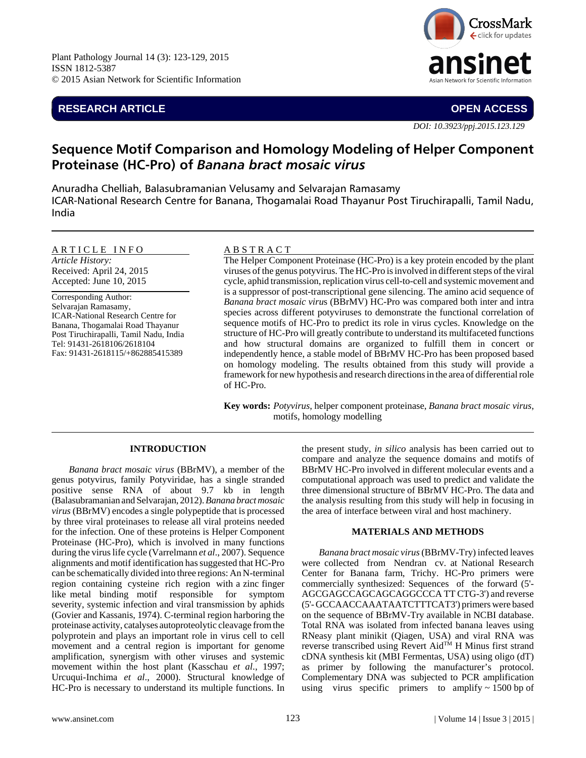# **RESEARCH ARTICLE OPEN ACCESS**



*DOI: 10.3923/ppj.2015.123.129*

# **Sequence Motif Comparison and Homology Modeling of Helper Component Proteinase (HC-Pro) of** *Banana bract mosaic virus*

Anuradha Chelliah, Balasubramanian Velusamy and Selvarajan Ramasamy ICAR-National Research Centre for Banana, Thogamalai Road Thayanur Post Tiruchirapalli, Tamil Nadu, India

### ARTICLE INFO

*Article History:* Received: April 24, 2015 Accepted: June 10, 2015

Corresponding Author: Selvarajan Ramasamy, ICAR-National Research Centre for Banana, Thogamalai Road Thayanur Post Tiruchirapalli, Tamil Nadu, India Tel: 91431-2618106/2618104 Fax: 91431-2618115/+862885415389

## A B S T R A C T

The Helper Component Proteinase (HC-Pro) is a key protein encoded by the plant viruses of the genus potyvirus. The HC-Pro is involved in different steps of the viral cycle, aphid transmission, replication virus cell-to-cell and systemic movement and is a suppressor of post-transcriptional gene silencing. The amino acid sequence of *Banana bract mosaic viru*s (BBrMV) HC-Pro was compared both inter and intra species across different potyviruses to demonstrate the functional correlation of sequence motifs of HC-Pro to predict its role in virus cycles. Knowledge on the structure of HC-Pro will greatly contribute to understand its multifaceted functions and how structural domains are organized to fulfill them in concert or independently hence, a stable model of BBrMV HC-Pro has been proposed based on homology modeling. The results obtained from this study will provide a framework for new hypothesis and research directions in the area of differential role of HC-Pro.

**Key words:** *Potyvirus*, helper component proteinase, *Banana bract mosaic virus*, motifs, homology modelling

#### **INTRODUCTION**

*Banana bract mosaic virus* (BBrMV), a member of the genus potyvirus, family Potyviridae, has a single stranded positive sense RNA of about 9.7 kb in length (Balasubramanian and Selvarajan, 2012). *Banana bract mosaic virus* (BBrMV) encodes a single polypeptide that is processed by three viral proteinases to release all viral proteins needed for the infection. One of these proteins is Helper Component Proteinase (HC-Pro), which is involved in many functions during the virus life cycle (Varrelmann *et al*., 2007). Sequence alignments and motif identification has suggested that HC-Pro can be schematically divided into three regions: An N-terminal region containing cysteine rich region with a zinc finger like metal binding motif responsible for symptom severity, systemic infection and viral transmission by aphids (Govier and Kassanis, 1974). C-terminal region harboring the proteinase activity, catalyses autoproteolytic cleavage from the polyprotein and plays an important role in virus cell to cell movement and a central region is important for genome amplification, synergism with other viruses and systemic movement within the host plant (Kasschau *et al*., 1997; Urcuqui-Inchima *et al*., 2000). Structural knowledge of HC-Pro is necessary to understand its multiple functions. In

the present study, *in silico* analysis has been carried out to compare and analyze the sequence domains and motifs of BBrMV HC-Pro involved in different molecular events and a computational approach was used to predict and validate the three dimensional structure of BBrMV HC-Pro. The data and the analysis resulting from this study will help in focusing in the area of interface between viral and host machinery.

#### **MATERIALS AND METHODS**

*Banana bract mosaic virus* (BBrMV-Try) infected leaves were collected from Nendran cv. at National Research Center for Banana farm, Trichy. HC-Pro primers were commercially synthesized: Sequences of the forward (5'- AGCGAGCCAGCAGCAGGCCCA TT CTG-3') and reverse (5'- GCCAACCAAATAATCTTTCAT3') primers were based on the sequence of BBrMV-Try available in NCBI database. Total RNA was isolated from infected banana leaves using RNeasy plant minikit (Qiagen, USA) and viral RNA was reverse transcribed using Revert Aid<sup>TM</sup> H Minus first strand cDNA synthesis kit (MBI Fermentas, USA) using oligo (dT) as primer by following the manufacturer's protocol. Complementary DNA was subjected to PCR amplification using virus specific primers to amplify  $\sim$  1500 bp of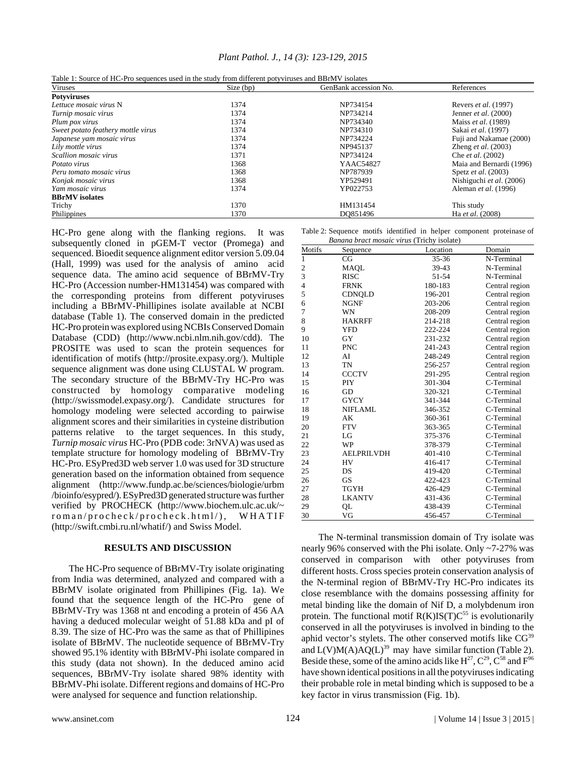| Plant Pathol. J., 14 (3): 123-129, 2015 |  |  |  |
|-----------------------------------------|--|--|--|
|-----------------------------------------|--|--|--|

|  | Table 1: Source of HC-Pro sequences used in the study from different potyviruses and BBrMV isolates |
|--|-----------------------------------------------------------------------------------------------------|
|  |                                                                                                     |

| Viruses                            | Size (bp) | GenBank accession No. | References                   |
|------------------------------------|-----------|-----------------------|------------------------------|
| <b>Potyviruses</b>                 |           |                       |                              |
| Lettuce mosaic virus N             | 1374      | NP734154              | Revers <i>et al.</i> (1997)  |
| Turnip mosaic virus                | 1374      | NP734214              | Jenner et al. $(2000)$       |
| Plum pox virus                     | 1374      | NP734340              | Maiss et al. (1989)          |
| Sweet potato feathery mottle virus | 1374      | NP734310              | Sakai et al. (1997)          |
| Japanese yam mosaic virus          | 1374      | NP734224              | Fuji and Nakamae (2000)      |
| Lily mottle virus                  | 1374      | NP945137              | Zheng <i>et al.</i> $(2003)$ |
| Scallion mosaic virus              | 1371      | NP734124              | Che <i>et al.</i> (2002)     |
| Potato virus                       | 1368      | YAAC54827             | Maia and Bernardi (1996)     |
| Peru tomato mosaic virus           | 1368      | NP787939              | Spetz <i>et al.</i> (2003)   |
| Konjak mosaic virus                | 1368      | YP529491              | Nishiguchi et al. (2006)     |
| Yam mosaic virus                   | 1374      | YP022753              | Aleman <i>et al.</i> (1996)  |
| <b>BBrMV</b> isolates              |           |                       |                              |
| Trichy                             | 1370      | HM131454              | This study                   |
| Philippines                        | 1370      | DO851496              | Ha et al. (2008)             |

HC-Pro gene along with the flanking regions. It was subsequently cloned in pGEM-T vector (Promega) and sequenced. Bioedit sequence alignment editor version 5.09.04 (Hall, 1999) was used for the analysis of amino acid sequence data. The amino acid sequence of BBrMV-Try HC-Pro (Accession number-HM131454) was compared with the corresponding proteins from different potyviruses including a BBrMV-Phillipines isolate available at NCBI database (Table 1). The conserved domain in the predicted HC-Pro protein was explored using NCBIs Conserved Domain Database (CDD) (http://www.ncbi.nlm.nih.gov/cdd). The PROSITE was used to scan the protein sequences for identification of motifs (http://prosite.expasy.org/). Multiple sequence alignment was done using CLUSTAL W program. The secondary structure of the BBrMV-Try HC-Pro was constructed by homology comparative modeling (http://swissmodel.expasy.org/). Candidate structures for homology modeling were selected according to pairwise alignment scores and their similarities in cysteine distribution patterns relative to the target sequences. In this study, *Turnip mosaic virus* HC-Pro (PDB code: 3rNVA) was used as template structure for homology modeling of BBrMV-Try HC-Pro. ESyPred3D web server 1.0 was used for 3D structure generation based on the information obtained from sequence alignment (http://www.fundp.ac.be/sciences/biologie/urbm /bioinfo/esypred/). ESyPred3D generated structure was further verified by PROCHECK (http://www.biochem.ulc.ac.uk/~ roman/procheck/procheck.html/), WHATIF (http://swift.cmbi.ru.nl/whatif/) and Swiss Model.

#### **RESULTS AND DISCUSSION**

The HC-Pro sequence of BBrMV-Try isolate originating from India was determined, analyzed and compared with a BBrMV isolate originated from Phillipines (Fig. 1a). We found that the sequence length of the HC-Pro gene of BBrMV-Try was 1368 nt and encoding a protein of 456 AA having a deduced molecular weight of 51.88 kDa and pI of 8.39. The size of HC-Pro was the same as that of Phillipines isolate of BBrMV. The nucleotide sequence of BBrMV-Try showed 95.1% identity with BBrMV-Phi isolate compared in this study (data not shown). In the deduced amino acid sequences, BBrMV-Try isolate shared 98% identity with BBrMV-Phi isolate. Different regions and domains of HC-Pro were analysed for sequence and function relationship.

Table 2: Sequence motifs identified in helper component proteinase of

| Banana bract mosaic virus (Trichy isolate) |                   |          |                |  |
|--------------------------------------------|-------------------|----------|----------------|--|
| Motifs                                     | Sequence          | Location | Domain         |  |
| $\mathbf{1}$                               | CG                | 35-36    | N-Terminal     |  |
| $\overline{c}$                             | MAOL              | 39-43    | N-Terminal     |  |
| 3                                          | <b>RISC</b>       | 51-54    | N-Terminal     |  |
| $\overline{4}$                             | <b>FRNK</b>       | 180-183  | Central region |  |
| 5                                          | CDNQLD            | 196-201  | Central region |  |
| 6                                          | <b>NGNF</b>       | 203-206  | Central region |  |
| 7                                          | WN                | 208-209  | Central region |  |
| 8                                          | <b>HAKRFF</b>     | 214-218  | Central region |  |
| 9                                          | YFD               | 222-224  | Central region |  |
| 10                                         | GY                | 231-232  | Central region |  |
| 11                                         | <b>PNC</b>        | 241-243  | Central region |  |
| 12                                         | AI                | 248-249  | Central region |  |
| 13                                         | TN                | 256-257  | Central region |  |
| 14                                         | <b>CCCTV</b>      | 291-295  | Central region |  |
| 15                                         | PIY               | 301-304  | C-Terminal     |  |
| 16                                         | GD                | 320-321  | C-Terminal     |  |
| 17                                         | <b>GYCY</b>       | 341-344  | C-Terminal     |  |
| 18                                         | <b>NIFLAML</b>    | 346-352  | C-Terminal     |  |
| 19                                         | АK                | 360-361  | C-Terminal     |  |
| 20                                         | <b>FTV</b>        | 363-365  | C-Terminal     |  |
| 21                                         | LG                | 375-376  | C-Terminal     |  |
| 22                                         | WP                | 378-379  | C-Terminal     |  |
| 23                                         | <b>AELPRILVDH</b> | 401-410  | C-Terminal     |  |
| 24                                         | HV                | 416-417  | C-Terminal     |  |
| 25                                         | DS                | 419-420  | C-Terminal     |  |
| 26                                         | <b>GS</b>         | 422-423  | C-Terminal     |  |
| 27                                         | TGYH              | 426-429  | C-Terminal     |  |
| 28                                         | <b>LKANTV</b>     | 431-436  | C-Terminal     |  |
| 29                                         | QL                | 438-439  | C-Terminal     |  |
| 30                                         | VG                | 456-457  | C-Terminal     |  |

The N-terminal transmission domain of Try isolate was nearly 96% conserved with the Phi isolate. Only ~7-27% was conserved in comparison with other potyviruses from different hosts. Cross species protein conservation analysis of the N-terminal region of BBrMV-Try HC-Pro indicates its close resemblance with the domains possessing affinity for metal binding like the domain of Nif D, a molybdenum iron protein. The functional motif  $R(K)IS(T)C<sup>55</sup>$  is evolutionarily conserved in all the potyviruses is involved in binding to the aphid vector's stylets. The other conserved motifs like  $CG<sup>39</sup>$ and  $L(V)M(A)AQ(L)^{39}$  may have similar function (Table 2). Beside these, some of the amino acids like  $H^{27}$ ,  $C^{29}$ ,  $C^{58}$  and  $F^{96}$ have shown identical positions in all the potyviruses indicating their probable role in metal binding which is supposed to be a key factor in virus transmission (Fig. 1b).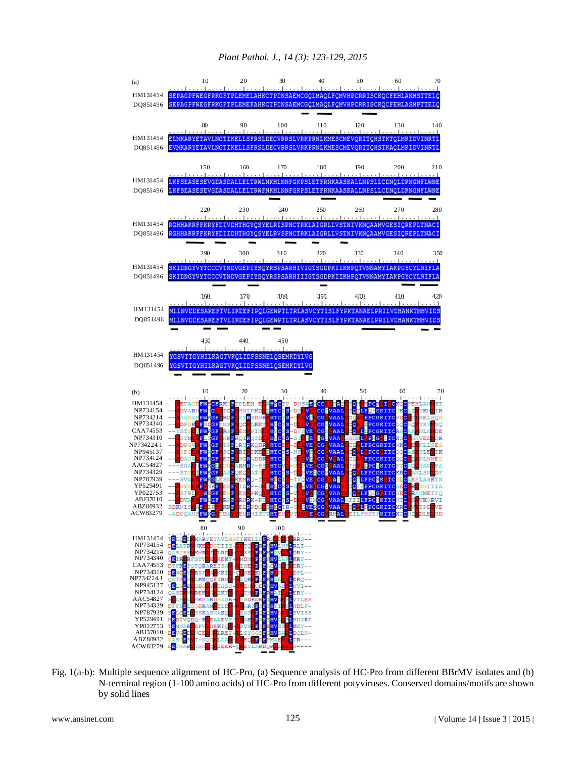

Fig. 1(a-b): Multiple sequence alignment of HC-Pro, (a) Sequence analysis of HC-Pro from different BBrMV isolates and (b) N-terminal region (1-100 amino acids) of HC-Pro from different potyviruses. Conserved domains/motifs are shown by solid lines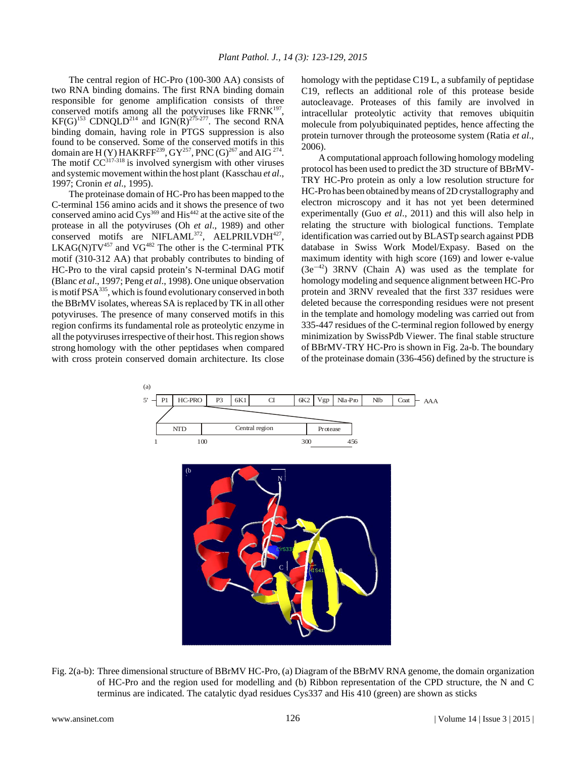The central region of HC-Pro (100-300 AA) consists of two RNA binding domains. The first RNA binding domain responsible for genome amplification consists of three conserved motifs among all the potyviruses like  $FRNK^{197}$ , KF(G)<sup>153</sup> CDNQLD<sup>214</sup> and IGN(R)<sup>275-277</sup>. The second RNA binding domain, having role in PTGS suppression is also found to be conserved. Some of the conserved motifs in this domain are H (Y) HAKRFF<sup>239</sup>, GY<sup>257</sup>, PNC (G)<sup>267</sup> and AIG<sup>274</sup>. The motif  $CC^{317-318}$  is involved synergism with other viruses and systemic movement within the host plant (Kasschau *et al*., 1997; Cronin *et al*., 1995).

The proteinase domain of HC-Pro has been mapped to the C-terminal 156 amino acids and it shows the presence of two conserved amino acid Cys<sup>369</sup> and His<sup>442</sup> at the active site of the protease in all the potyviruses (Oh *et al*., 1989) and other conserved motifs are NIFLAML<sup>372</sup>, AELPRILVDH<sup>427</sup>,  $LKAG(N)TV^{457}$  and  $VG^{482}$  The other is the C-terminal PTK motif (310-312 AA) that probably contributes to binding of HC-Pro to the viral capsid protein's N-terminal DAG motif (Blanc *et al*., 1997; Peng *et al*., 1998). One unique observation is motif PSA<sup>335</sup>, which is found evolutionary conserved in both the BBrMV isolates, whereas SA is replaced by TK in all other potyviruses. The presence of many conserved motifs in this region confirms its fundamental role as proteolytic enzyme in all the potyviruses irrespective of their host. This region shows strong homology with the other peptidases when compared with cross protein conserved domain architecture. Its close

homology with the peptidase C19 L, a subfamily of peptidase C19, reflects an additional role of this protease beside autocleavage. Proteases of this family are involved in intracellular proteolytic activity that removes ubiquitin molecule from polyubiquinated peptides, hence affecting the protein turnover through the proteosome system (Ratia *et al*., 2006).

A computational approach following homology modeling protocol has been used to predict the 3D structure of BBrMV-TRY HC-Pro protein as only a low resolution structure for HC-Pro has been obtained by means of 2D crystallography and electron microscopy and it has not yet been determined experimentally (Guo *et al*., 2011) and this will also help in relating the structure with biological functions. Template identification was carried out by BLASTp search against PDB database in Swiss Work Model/Expasy. Based on the maximum identity with high score (169) and lower e-value  $(3e^{-42})$  3RNV (Chain A) was used as the template for homology modeling and sequence alignment between HC-Pro protein and 3RNV revealed that the first 337 residues were deleted because the corresponding residues were not present in the template and homology modeling was carried out from 335-447 residues of the C-terminal region followed by energy minimization by SwissPdb Viewer. The final stable structure of BBrMV-TRY HC-Pro is shown in Fig. 2a-b. The boundary of the proteinase domain (336-456) defined by the structure is



Fig. 2(a-b): Three dimensional structure of BBrMV HC-Pro, (a) Diagram of the BBrMV RNA genome, the domain organization of HC-Pro and the region used for modelling and (b) Ribbon representation of the CPD structure, the N and C terminus are indicated. The catalytic dyad residues Cys337 and His 410 (green) are shown as sticks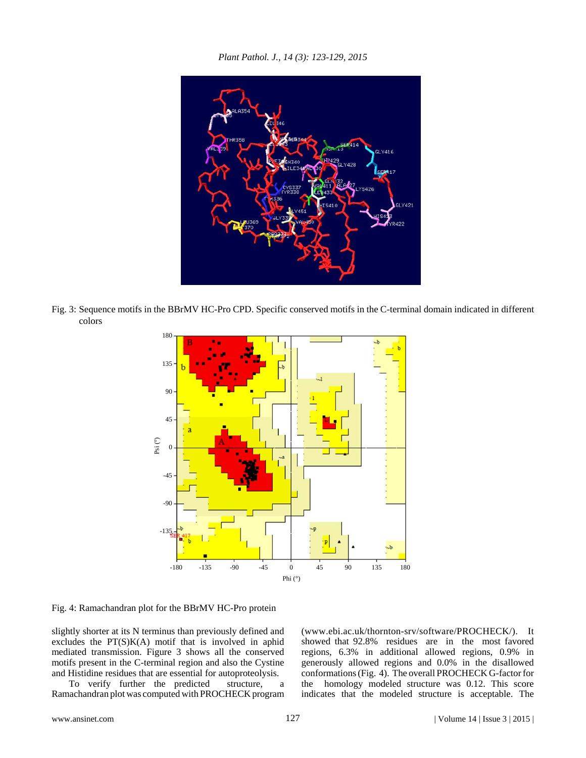*Plant Pathol. J., 14 (3): 123-129, 2015*



Fig. 3: Sequence motifs in the BBrMV HC-Pro CPD. Specific conserved motifs in the C-terminal domain indicated in different colors



Fig. 4: Ramachandran plot for the BBrMV HC-Pro protein

slightly shorter at its N terminus than previously defined and excludes the  $PT(S)K(A)$  motif that is involved in aphid mediated transmission. Figure 3 shows all the conserved motifs present in the C-terminal region and also the Cystine and Histidine residues that are essential for autoproteolysis.

To verify further the predicted structure, a Ramachandran plot was computed with PROCHECK program (www.ebi.ac.uk/thornton-srv/software/PROCHECK/). It showed that 92.8% residues are in the most favored regions, 6.3% in additional allowed regions, 0.9% in generously allowed regions and 0.0% in the disallowed conformations (Fig. 4). The overall PROCHECK G-factor for the homology modeled structure was 0.12. This score indicates that the modeled structure is acceptable. The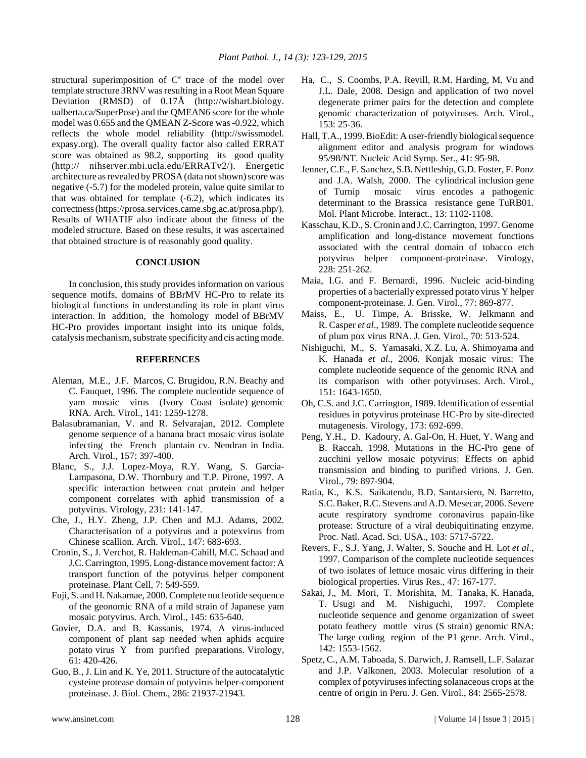structural superimposition of C<sup>a</sup> trace of the model over template structure 3RNV was resulting in a Root Mean Square Deviation (RMSD) of 0.17Å (http://wishart.biology. ualberta.ca/SuperPose) and the QMEAN6 score for the whole model was 0.655 and the QMEAN Z-Score was -0.922, which reflects the whole model reliability (http://swissmodel. expasy.org). The overall quality factor also called ERRAT score was obtained as 98.2, supporting its good quality (http:// nihserver.mbi.ucla.edu/ERRATv2/). Energetic architecture as revealed by PROSA (data not shown) score was negative (-5.7) for the modeled protein, value quite similar to that was obtained for template (-6.2), which indicates its correctness (https://prosa.services.came.sbg.ac.at/prosa.php/). Results of WHATIF also indicate about the fitness of the modeled structure. Based on these results, it was ascertained that obtained structure is of reasonably good quality.

#### **CONCLUSION**

In conclusion, this study provides information on various sequence motifs, domains of BBrMV HC-Pro to relate its biological functions in understanding its role in plant virus interaction. In addition, the homology model of BBrMV HC-Pro provides important insight into its unique folds, catalysis mechanism, substrate specificity and cis acting mode.

#### **REFERENCES**

- Aleman, M.E., J.F. Marcos, C. Brugidou, R.N. Beachy and C. Fauquet, 1996. The complete nucleotide sequence of yam mosaic virus (Ivory Coast isolate) genomic RNA. Arch. Virol., 141: 1259-1278.
- Balasubramanian, V. and R. Selvarajan, 2012. Complete genome sequence of a banana bract mosaic virus isolate infecting the French plantain cv. Nendran in India. Arch. Virol., 157: 397-400.
- Blanc, S., J.J. Lopez-Moya, R.Y. Wang, S. Garcia-Lampasona, D.W. Thornbury and T.P. Pirone, 1997. A specific interaction between coat protein and helper component correlates with aphid transmission of a potyvirus. Virology, 231: 141-147.
- Che, J., H.Y. Zheng, J.P. Chen and M.J. Adams, 2002. Characterisation of a potyvirus and a potexvirus from Chinese scallion. Arch. Virol., 147: 683-693.
- Cronin, S., J. Verchot, R. Haldeman-Cahill, M.C. Schaad and J.C. Carrington, 1995. Long-distance movement factor: A transport function of the potyvirus helper component proteinase. Plant Cell, 7: 549-559.
- Fuji, S. and H. Nakamae, 2000. Complete nucleotide sequence of the geonomic RNA of a mild strain of Japanese yam mosaic potyvirus. Arch. Virol., 145: 635-640.
- Govier, D.A. and B. Kassanis, 1974. A virus-induced component of plant sap needed when aphids acquire potato virus Y from purified preparations. Virology, 61: 420-426.
- Guo, B., J. Lin and K. Ye, 2011. Structure of the autocatalytic cysteine protease domain of potyvirus helper-component proteinase. J. Biol. Chem., 286: 21937-21943.
- Ha, C., S. Coombs, P.A. Revill, R.M. Harding, M. Vu and J.L. Dale, 2008. Design and application of two novel degenerate primer pairs for the detection and complete genomic characterization of potyviruses. Arch. Virol., 153: 25-36.
- Hall, T.A., 1999. BioEdit: A user-friendly biological sequence alignment editor and analysis program for windows 95/98/NT. Nucleic Acid Symp. Ser., 41: 95-98.
- Jenner, C.E., F. Sanchez, S.B. Nettleship, G.D. Foster, F. Ponz and J.A. Walsh, 2000. The cylindrical inclusion gene of Turnip mosaic virus encodes a pathogenic determinant to the Brassica resistance gene TuRB01. Mol. Plant Microbe. Interact., 13: 1102-1108.
- Kasschau, K.D., S. Cronin and J.C. Carrington, 1997. Genome amplification and long-distance movement functions associated with the central domain of tobacco etch potyvirus helper component-proteinase. Virology, 228: 251-262.
- Maia, I.G. and F. Bernardi, 1996. Nucleic acid-binding properties of a bacterially expressed potato virus Y helper component-proteinase. J. Gen. Virol., 77: 869-877.
- Maiss, E., U. Timpe, A. Brisske, W. Jelkmann and R. Casper *et al*., 1989. The complete nucleotide sequence of plum pox virus RNA. J. Gen. Virol., 70: 513-524.
- Nishiguchi, M., S. Yamasaki, X.Z. Lu, A. Shimoyama and K. Hanada *et al*., 2006. Konjak mosaic virus: The complete nucleotide sequence of the genomic RNA and its comparison with other potyviruses. Arch. Virol., 151: 1643-1650.
- Oh, C.S. and J.C. Carrington, 1989. Identification of essential residues in potyvirus proteinase HC-Pro by site-directed mutagenesis. Virology, 173: 692-699.
- Peng, Y.H., D. Kadoury, A. Gal-On, H. Huet, Y. Wang and B. Raccah, 1998. Mutations in the HC-Pro gene of zucchini yellow mosaic potyvirus: Effects on aphid transmission and binding to purified virions. J. Gen. Virol., 79: 897-904.
- Ratia, K., K.S. Saikatendu, B.D. Santarsiero, N. Barretto, S.C. Baker, R.C. Stevens and A.D. Mesecar, 2006. Severe acute respiratory syndrome coronavirus papain-like protease: Structure of a viral deubiquitinating enzyme. Proc. Natl. Acad. Sci. USA., 103: 5717-5722.
- Revers, F., S.J. Yang, J. Walter, S. Souche and H. Lot *et al*., 1997. Comparison of the complete nucleotide sequences of two isolates of lettuce mosaic virus differing in their biological properties. Virus Res., 47: 167-177.
- Sakai, J., M. Mori, T. Morishita, M. Tanaka, K. Hanada, T. Usugi and M. Nishiguchi, 1997. Complete nucleotide sequence and genome organization of sweet potato feathery mottle virus (S strain) genomic RNA: The large coding region of the P1 gene. Arch. Virol., 142: 1553-1562.
- Spetz, C., A.M. Taboada, S. Darwich, J. Ramsell, L.F. Salazar and J.P. Valkonen, 2003. Molecular resolution of a complex of potyviruses infecting solanaceous crops at the centre of origin in Peru. J. Gen. Virol., 84: 2565-2578.